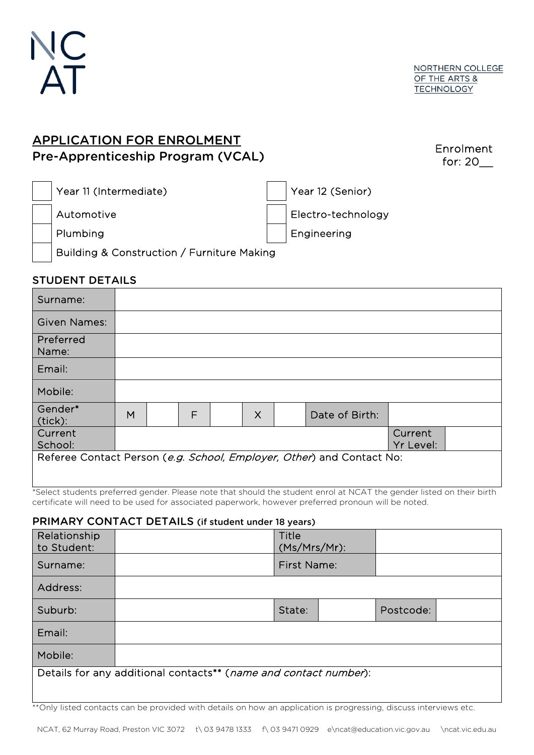

## APPLICATION FOR ENROLMENT Pre-Apprenticeship Program (VCAL)

Enrolment for: 20\_\_

| Year 11 (Intermediate)                     | Year 12 (Senior)         |
|--------------------------------------------|--------------------------|
| Automotive                                 | Electro-technology       |
| Plumbing                                   | <sup>l</sup> Engineering |
| Building & Construction / Furniture Making |                          |

## STUDENT DETAILS

| Surname:                                                              |                      |  |   |  |          |  |                |  |  |
|-----------------------------------------------------------------------|----------------------|--|---|--|----------|--|----------------|--|--|
| <b>Given Names:</b>                                                   |                      |  |   |  |          |  |                |  |  |
| Preferred<br>Name:                                                    |                      |  |   |  |          |  |                |  |  |
| Email:                                                                |                      |  |   |  |          |  |                |  |  |
| Mobile:                                                               |                      |  |   |  |          |  |                |  |  |
| Gender*<br>(tick):                                                    | M                    |  | F |  | $\times$ |  | Date of Birth: |  |  |
| Current<br>School:                                                    | Current<br>Yr Level: |  |   |  |          |  |                |  |  |
| Referee Contact Person (e.g. School, Employer, Other) and Contact No: |                      |  |   |  |          |  |                |  |  |

\*Select students preferred gender. Please note that should the student enrol at NCAT the gender listed on their birth certificate will need to be used for associated paperwork, however preferred pronoun will be noted.

## PRIMARY CONTACT DETAILS (if student under 18 years)

| Relationship<br>to Student:                                      |  | Title<br>(Ms/Mrs/Mr): |  |           |  |  |  |  |
|------------------------------------------------------------------|--|-----------------------|--|-----------|--|--|--|--|
| Surname:                                                         |  | First Name:           |  |           |  |  |  |  |
| Address:                                                         |  |                       |  |           |  |  |  |  |
| Suburb:                                                          |  | State:                |  | Postcode: |  |  |  |  |
| Email:                                                           |  |                       |  |           |  |  |  |  |
| Mobile:                                                          |  |                       |  |           |  |  |  |  |
| Details for any additional contacts** (name and contact number): |  |                       |  |           |  |  |  |  |
|                                                                  |  |                       |  |           |  |  |  |  |

\*\*Only listed contacts can be provided with details on how an application is progressing, discuss interviews etc.